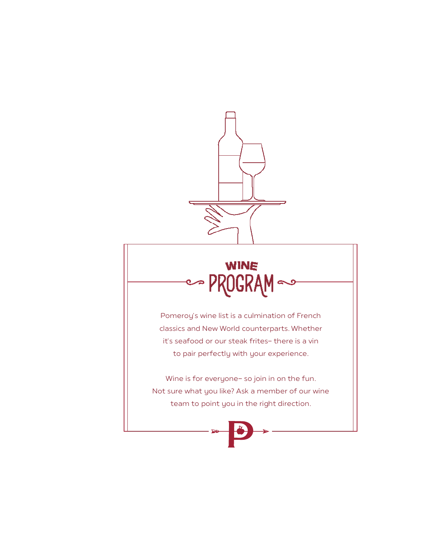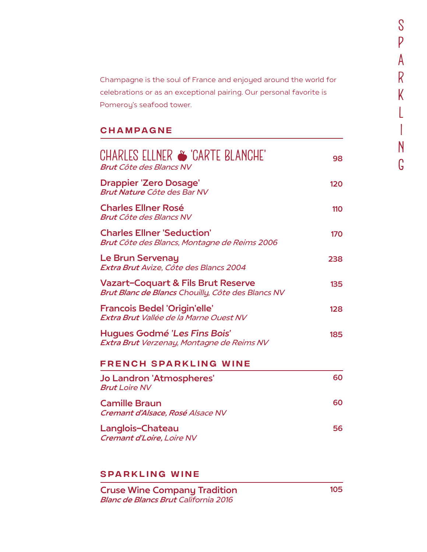Champagne is the soul of France and enjoyed around the world for celebrations or as an exceptional pairing. Our personal favorite is Pomeroy's seafood tower.

## CHaMPAGNE

| CHARLES ELLNER S 'CARTE BLANCHE'                                                                      | 98  |
|-------------------------------------------------------------------------------------------------------|-----|
| <b>Brut Côte des Blancs NV</b><br><b>Drappier 'Zero Dosage'</b><br><b>Brut Nature Côte des Bar NV</b> | 120 |
| <b>Charles Ellner Rosé</b><br><b>Brut Côte des Blancs NV</b>                                          | 110 |
| <b>Charles Ellner 'Seduction'</b><br>Brut Côte des Blancs, Montagne de Reims 2006                     | 170 |
| Le Brun Servenay<br>Extra Brut Avize, Côte des Blancs 2004                                            | 238 |
| <b>Vazart-Coquart &amp; Fils Brut Reserve</b><br>Brut Blanc de Blancs Chouilly, Côte des Blancs NV    | 135 |
| <b>Francois Bedel 'Origin'elle'</b><br>Extra Brut Vallée de la Marne Ouest NV                         | 128 |
| Hugues Godmé 'Les Fins Bois'<br>Extra Brut Verzenay, Montagne de Reims NV                             | 185 |
| <b>FRENCH SPARKLING WINE</b>                                                                          |     |
| Jo Landron 'Atmospheres'<br><b>Brut Loire NV</b>                                                      | 60  |
| <b>Camille Braun</b><br>Cremant d'Alsace, Rosé Alsace NV                                              | 60  |
| Langlois-Chateau<br>Cremant d'Loire, Loire NV                                                         | 56  |

### SPARKLING WINE

Cruse Wine Company Tradition Blanc de Blancs Brut California 2016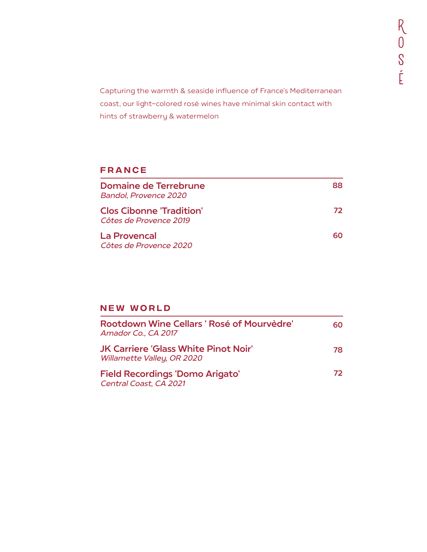Capturing the warmth & seaside influence of France's Mediterranean coast, our light-colored rosé wines have minimal skin contact with hints of strawberry & watermelon

## FRANCE

| Domaine de Terrebrune<br><b>Bandol, Provence 2020</b> | 88  |
|-------------------------------------------------------|-----|
| Clos Cibonne 'Tradition'<br>Côtes de Provence 2019    | 72. |
| La Provencal<br>Côtes de Provence 2020                | 60. |

# NEW WORLD

| Rootdown Wine Cellars ' Rosé of Mourvèdre'<br>Amador Co., CA 2017         | 60. |
|---------------------------------------------------------------------------|-----|
| <b>JK Carriere 'Glass White Pinot Noir'</b><br>Willamette Valley, OR 2020 | 78. |
| <b>Field Recordings 'Domo Arigato'</b><br>Central Coast, CA 2021          | 72. |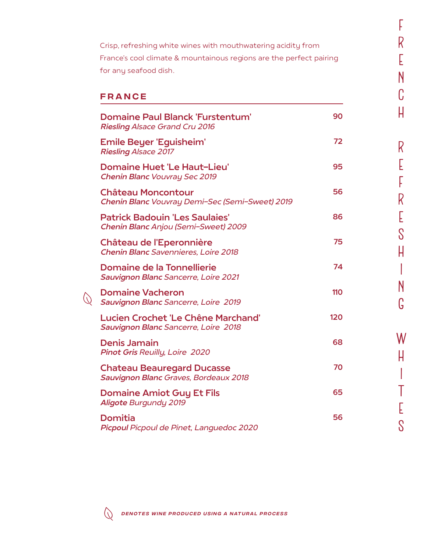Crisp, refreshing white wines with mouthwatering acidity from France's cool climate & mountainous regions are the perfect pairing for any seafood dish.

f F<br>R

.<br>E E<br>N

c

h

r

.<br>E

E

f

r

.<br>E E<br>S

h

i

n

g

w

h

i

I

t<br>T .<br>E

s

#### FRANCE

| <b>Domaine Paul Blanck 'Furstentum'</b><br><b>Riesling Alsace Grand Cru 2016</b> | 90  |
|----------------------------------------------------------------------------------|-----|
| Emile Beyer 'Eguisheim'<br><b>Riesling Alsace 2017</b>                           | 72  |
| <b>Domaine Huet 'Le Haut-Lieu'</b><br><b>Chenin Blanc Vouvray Sec 2019</b>       | 95  |
| <b>Château Moncontour</b><br>Chenin Blanc Vouvray Demi-Sec (Semi-Sweet) 2019     | 56  |
| <b>Patrick Badouin 'Les Saulaies'</b><br>Chenin Blanc Anjou (Semi-Sweet) 2009    | 86  |
| <b>Château de l'Eperonnière</b><br><b>Chenin Blanc Savennieres, Loire 2018</b>   | 75  |
| Domaine de la Tonnellierie<br><b>Sauvignon Blanc Sancerre, Loire 2021</b>        | 74  |
| <b>Domaine Vacheron</b><br>Sauvignon Blanc Sancerre, Loire 2019                  | 110 |
| Lucien Crochet 'Le Chêne Marchand'<br>Sauvignon Blanc Sancerre, Loire 2018       | 120 |
| <b>Denis Jamain</b><br><b>Pinot Gris Reuilly, Loire 2020</b>                     | 68  |
| <b>Chateau Beauregard Ducasse</b><br>Sauvignon Blanc Graves, Bordeaux 2018       | 70  |
| <b>Domaine Amiot Guy Et Fils</b><br><b>Aligote Burgundy 2019</b>                 | 65  |
| <b>Domitia</b><br>Picpoul Picpoul de Pinet, Languedoc 2020                       | 56  |



 $\bigcirc$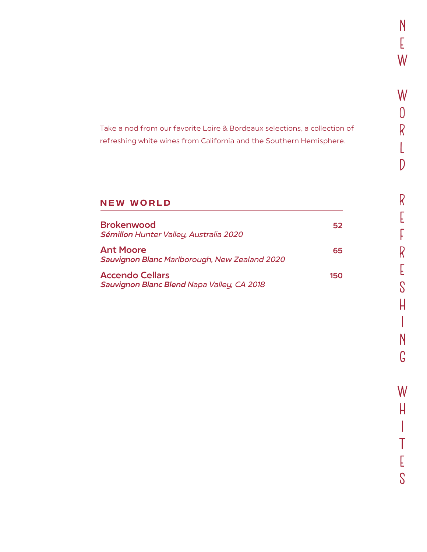Take a nod from our favorite Loire & Bordeaux selections, a collection of refreshing white wines from California and the Southern Hemisphere.

# **NEW WORLD**

| <b>Brokenwood</b><br>Sémillon Hunter Valley, Australia 2020          | 52  |
|----------------------------------------------------------------------|-----|
| <b>Ant Moore</b><br>Sauvignon Blanc Marlborough, New Zealand 2020    | 65  |
| <b>Accendo Cellars</b><br>Sauvignon Blanc Blend Napa Valley, CA 2018 | 150 |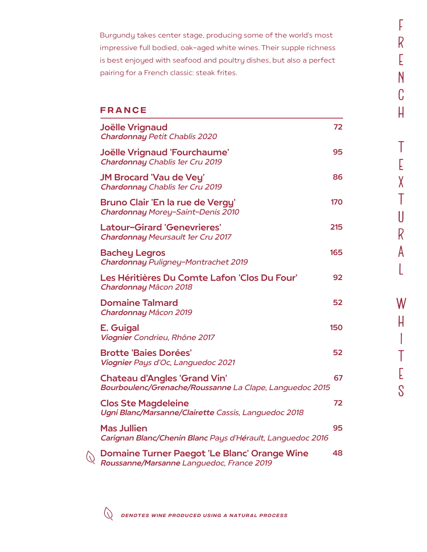Burgundy takes center stage, producing some of the world's most impressive full bodied, oak-aged white wines. Their supple richness is best enjoyed with seafood and poultry dishes, but also a perfect pairing for a French classic: steak frites.

f F<br>R

.<br>E E<br>N

c

h

T<br>E .<br>E

x

t

u

r

A

 $\overline{\mathsf{L}}$ 

w

h

i

t<br>T

.<br>E E<br>S

### FRANCE

| Joëlle Vrignaud                                                                                | 72  |
|------------------------------------------------------------------------------------------------|-----|
| <b>Chardonnay Petit Chablis 2020</b>                                                           |     |
| Joëlle Vrignaud 'Fourchaume'<br>Chardonnay Chablis 1er Cru 2019                                | 95  |
| <b>JM Brocard 'Vau de Vey'</b><br>Chardonnay Chablis 1er Cru 2019                              | 86  |
| Bruno Clair 'En la rue de Vergy'<br>Chardonnay Morey-Saint-Denis 2010                          | 170 |
| <b>Latour-Girard 'Genevrieres'</b><br>Chardonnay Meursault 1er Cru 2017                        | 215 |
| <b>Bachey Legros</b><br>Chardonnay Puligney-Montrachet 2019                                    | 165 |
| Les Héritières Du Comte Lafon 'Clos Du Four'<br>Chardonnay Mâcon 2018                          | 92  |
| <b>Domaine Talmard</b><br>Chardonnay Mâcon 2019                                                | 52  |
| E. Guigal<br>Viognier Condrieu, Rhône 2017                                                     | 150 |
| <b>Brotte 'Baies Dorées'</b><br>Viognier Pays d'Oc, Languedoc 2021                             | 52  |
| <b>Chateau d'Angles 'Grand Vin'</b><br>Bourboulenc/Grenache/Roussanne La Clape, Languedoc 2015 | 67  |
| <b>Clos Ste Magdeleine</b><br>Ugni Blanc/Marsanne/Clairette Cassis, Languedoc 2018             | 72  |
| <b>Mas Jullien</b><br>Carignan Blanc/Chenin Blanc Pays d'Hérault, Languedoc 2016               | 95  |
| Domaine Turner Paegot 'Le Blanc' Orange Wine<br>Roussanne/Marsanne Languedoc, France 2019      | 48  |

 $\bigcirc$ 

 $\circlearrowright$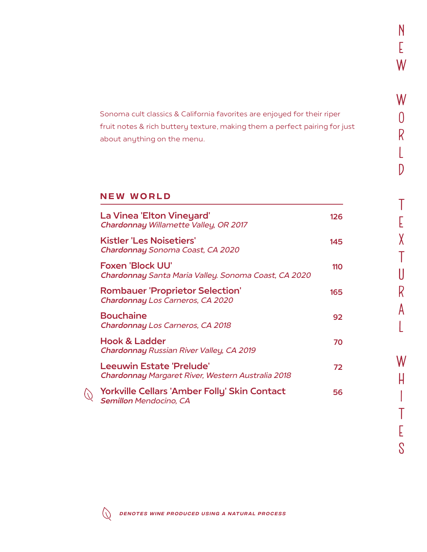Sonoma cult classics & California favorites are enjoyed for their riper fruit notes & rich buttery texture, making them a perfect pairing for just about anything on the menu.

## New world

| La Vinea 'Elton Vineyard'<br>Chardonnay Willamette Valley, OR 2017              | 126 |
|---------------------------------------------------------------------------------|-----|
| <b>Kistler 'Les Noisetiers'</b><br>Chardonnay Sonoma Coast, CA 2020             | 145 |
| <b>Foxen 'Block UU'</b><br>Chardonnay Santa Maria Valley. Sonoma Coast, CA 2020 | 110 |
| <b>Rombauer 'Proprietor Selection'</b><br>Chardonnay Los Carneros, CA 2020      | 165 |
| <b>Bouchaine</b><br>Chardonnay Los Carneros, CA 2018                            | 92  |
| <b>Hook &amp; Ladder</b><br>Chardonnay Russian River Valley, CA 2019            | 70  |
| Leeuwin Estate 'Prelude'<br>Chardonnay Margaret River, Western Australia 2018   | 72  |
| Yorkville Cellars 'Amber Folly' Skin Contact<br><b>Semillon Mendocino, CA</b>   | 56  |



 $\bigcirc$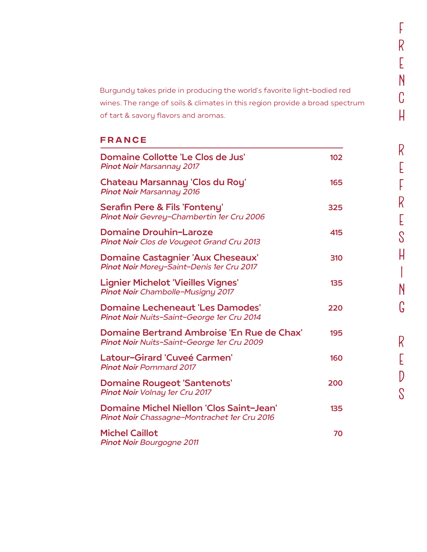Burgundy takes pride in producing the world's favorite light-bodied red wines. The range of soils & climates in this region provide a broad spectrum of tart & savory flavors and aromas.

f

F<br>R<br>E

.<br>E

n

c

h

R<br>E .<br>E

f

F<br>R<br>E

.<br>E

s

h

i<br>i

n

g

r E

 $\overline{D}$ 

s

## FRANCE

| Domaine Collotte 'Le Clos de Jus'<br><b>Pinot Noir Marsannay 2017</b>                           | 102 |
|-------------------------------------------------------------------------------------------------|-----|
| Chateau Marsannay 'Clos du Roy'<br><b>Pinot Noir Marsannay 2016</b>                             | 165 |
| <b>Serafin Pere &amp; Fils 'Fonteny'</b><br>Pinot Noir Gevrey-Chambertin 1er Cru 2006           | 325 |
| <b>Domaine Drouhin-Laroze</b><br>Pinot Noir Clos de Vougeot Grand Cru 2013                      | 415 |
| <b>Domaine Castagnier 'Aux Cheseaux'</b><br>Pinot Noir Morey-Saint-Denis 1er Cru 2017           | 310 |
| <b>Lignier Michelot 'Vieilles Vignes'</b><br>Pinot Noir Chambolle-Musigny 2017                  | 135 |
| <b>Domaine Lecheneaut 'Les Damodes'</b><br>Pinot Noir Nuits-Saint-George 1er Cru 2014           | 220 |
| Domaine Bertrand Ambroise 'En Rue de Chax'<br>Pinot Noir Nuits-Saint-George 1er Cru 2009        | 195 |
| Latour-Girard 'Cuveé Carmen'<br><b>Pinot Noir Pommard 2017</b>                                  | 160 |
| <b>Domaine Rougeot 'Santenots'</b><br>Pinot Noir Volnay 1er Cru 2017                            | 200 |
| <b>Domaine Michel Niellon 'Clos Saint-Jean'</b><br>Pinot Noir Chassagne-Montrachet 1er Cru 2016 | 135 |
| <b>Michel Caillot</b><br><b>Pinot Noir Bourgogne 2011</b>                                       | 70  |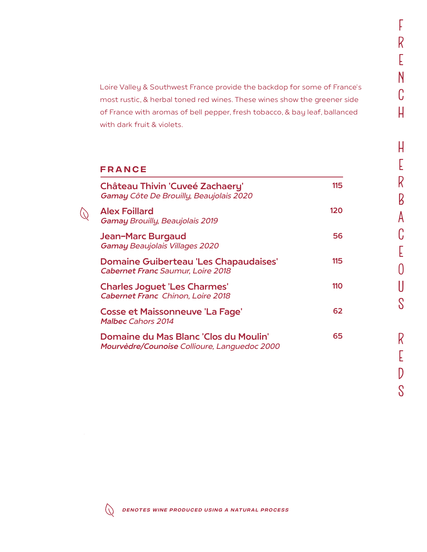Loire Valley & Southwest France provide the backdop for some of France's most rustic, & herbal toned red wines. These wines show the greener side of France with aromas of bell pepper, fresh tobacco, & bay leaf, ballanced with dark fruit & violets.

### FRANCE

 $\left(\sqrt{2}\right)$ 

| <b>Château Thivin 'Cuveé Zachaery'</b><br>Gamay Côte De Brouilly, Beaujolais 2020        | 115 |
|------------------------------------------------------------------------------------------|-----|
| <b>Alex Foillard</b><br><b>Gamay Brouilly, Beaujolais 2019</b>                           | 120 |
| Jean-Marc Burgaud<br><b>Gamay Beaujolais Villages 2020</b>                               | 56  |
| <b>Domaine Guiberteau 'Les Chapaudaises'</b><br><b>Cabernet Franc Saumur, Loire 2018</b> | 115 |
| <b>Charles Joguet 'Les Charmes'</b><br><b>Cabernet Franc Chinon, Loire 2018</b>          | 110 |
| Cosse et Maissonneuve 'La Fage'<br><b>Malbec Cahors 2014</b>                             | 62  |
| Domaine du Mas Blanc 'Clos du Moulin'<br>Mourvèdre/Counoise Collioure, Languedoc 2000    | 65  |

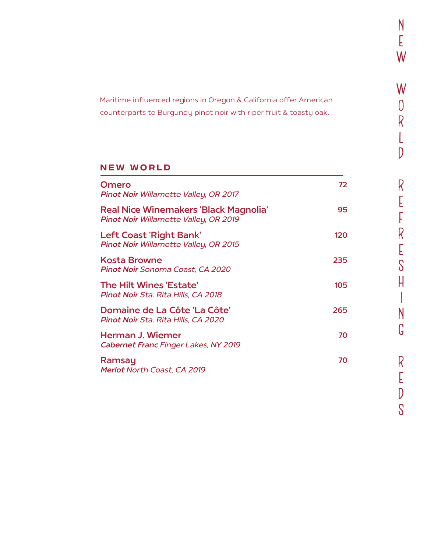Maritime influenced regions in Oregon & California offer American counterparts to Burgundy pinot noir with riper fruit & toasty oak.

# New world

| Omero<br><b>Pinot Noir Willamette Valley, OR 2017</b>                                        | 72  |
|----------------------------------------------------------------------------------------------|-----|
| <b>Real Nice Winemakers 'Black Magnolia'</b><br><b>Pinot Noir Willamette Valley, OR 2019</b> | 95  |
| <b>Left Coast 'Right Bank'</b><br>Pinot Noir Willamette Valley, OR 2015                      | 120 |
| <b>Kosta Browne</b><br><b>Pinot Noir Sonoma Coast, CA 2020</b>                               | 235 |
| The Hilt Wines 'Estate'<br>Pinot Noir Sta. Rita Hills, CA 2018                               | 105 |
| Domaine de La Côte 'La Côte'<br>Pinot Noir Sta. Rita Hills, CA 2020                          | 265 |
| Herman J. Wiemer<br>Cabernet Franc Finger Lakes, NY 2019                                     | 70  |
| Ramsay<br>Merlot North Coast, CA 2019                                                        | 70  |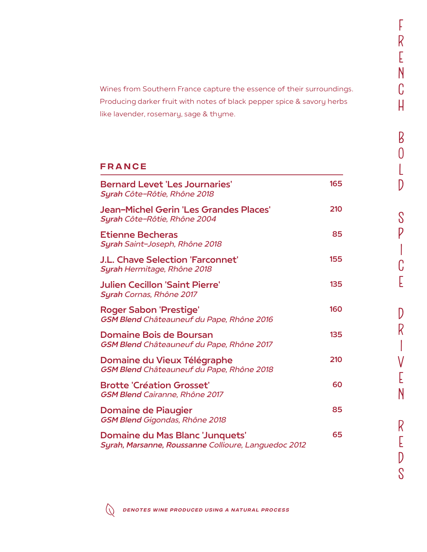Wines from Southern France capture the essence of their surroundings. Producing darker fruit with notes of black pepper spice & savory herbs like lavender, rosemary, sage & thyme.

### FRANCE

| <b>Bernard Levet 'Les Journaries'</b><br>Syrah Côte-Rôtie, Rhône 2018                          | 165 |
|------------------------------------------------------------------------------------------------|-----|
| Jean-Michel Gerin 'Les Grandes Places'<br>Syrah Côte-Rôtie, Rhône 2004                         | 210 |
| <b>Etienne Becheras</b><br>Syrah Saint-Joseph, Rhône 2018                                      | 85  |
| <b>J.L. Chave Selection 'Farconnet'</b><br>Syrah Hermitage, Rhône 2018                         | 155 |
| <b>Julien Cecillon 'Saint Pierre'</b><br>Syrah Cornas, Rhône 2017                              | 135 |
| <b>Roger Sabon 'Prestige'</b><br>GSM Blend Châteauneuf du Pape, Rhône 2016                     | 160 |
| <b>Domaine Bois de Boursan</b><br>GSM Blend Châteauneuf du Pape, Rhône 2017                    | 135 |
| Domaine du Vieux Télégraphe<br>GSM Blend Châteauneuf du Pape, Rhône 2018                       | 210 |
| <b>Brotte 'Création Grosset'</b><br><b>GSM Blend Cairanne, Rhône 2017</b>                      | 60  |
| <b>Domaine de Piaugier</b><br><b>GSM Blend Gigondas, Rhône 2018</b>                            | 85  |
| <b>Domaine du Mas Blanc 'Junquets'</b><br>Syrah, Marsanne, Roussanne Collioure, Languedoc 2012 | 65  |



f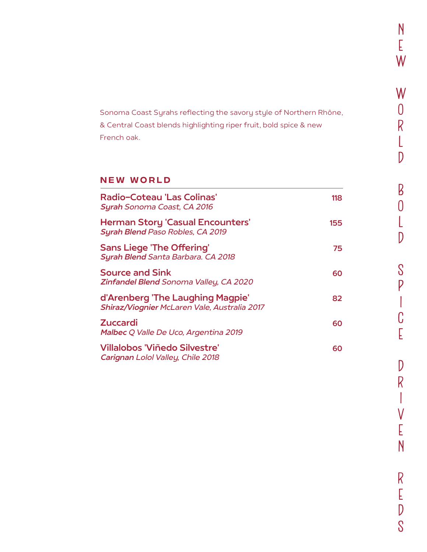Sonoma Coast Syrahs reflecting the savory style of Northern Rhône, & Central Coast blends highlighting riper fruit, bold spice & new French oak.

## New world

| Radio-Coteau 'Las Colinas'<br><b>Syrah Sonoma Coast, CA 2016</b>                 | 118 |
|----------------------------------------------------------------------------------|-----|
| <b>Herman Story 'Casual Encounters'</b><br>Syrah Blend Paso Robles, CA 2019      | 155 |
| <b>Sans Liege 'The Offering'</b><br>Syrah Blend Santa Barbara. CA 2018           | 75  |
| Source and Sink<br>Zinfandel Blend Sonoma Valley, CA 2020                        | 60  |
| d'Arenberg 'The Laughing Magpie'<br>Shiraz/Viognier McLaren Vale, Australia 2017 | 82  |
| Zuccardi<br>Malbec Q Valle De Uco, Argentina 2019                                | 60  |
| Villalobos 'Viñedo Silvestre'<br>Carignan Lolol Valley, Chile 2018               | 60  |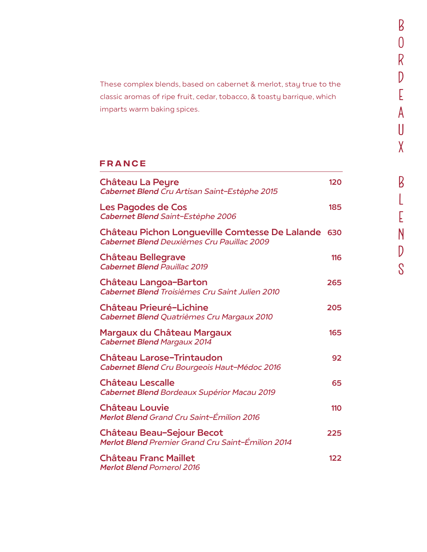These complex blends, based on cabernet & merlot, stay true to the classic aromas of ripe fruit, cedar, tobacco, & toasty barrique, which imparts warm baking spices.

## FRANCE

| <b>Château La Peyre</b><br>Cabernet Blend Cru Artisan Saint-Estèphe 2015                         | 120 |
|--------------------------------------------------------------------------------------------------|-----|
| Les Pagodes de Cos<br>Cabernet Blend Saint-Estèphe 2006                                          | 185 |
| Château Pichon Longueville Comtesse De Lalande 630<br>Cabernet Blend Deuxièmes Cru Pauillac 2009 |     |
| <b>Château Bellegrave</b><br><b>Cabernet Blend Pauillac 2019</b>                                 | 116 |
| <b>Château Langoa-Barton</b><br>Cabernet Blend Troisièmes Cru Saint Julien 2010                  | 265 |
| <b>Château Prieuré-Lichine</b><br>Cabernet Blend Quatrièmes Cru Margaux 2010                     | 205 |
| Margaux du Château Margaux<br><b>Cabernet Blend Margaux 2014</b>                                 | 165 |
| <b>Château Larose-Trintaudon</b><br>Cabernet Blend Cru Bourgeois Haut-Médoc 2016                 | 92  |
| <b>Château Lescalle</b><br>Cabernet Blend Bordeaux Supérior Macau 2019                           | 65  |
| <b>Château Louvie</b><br><b>Merlot Blend Grand Cru Saint-Émilion 2016</b>                        | 110 |
| <b>Château Beau-Sejour Becot</b><br>Merlot Blend Premier Grand Cru Saint-Émilion 2014            | 225 |
| <b>Château Franc Maillet</b><br><b>Merlot Blend Pomerol 2016</b>                                 | 122 |